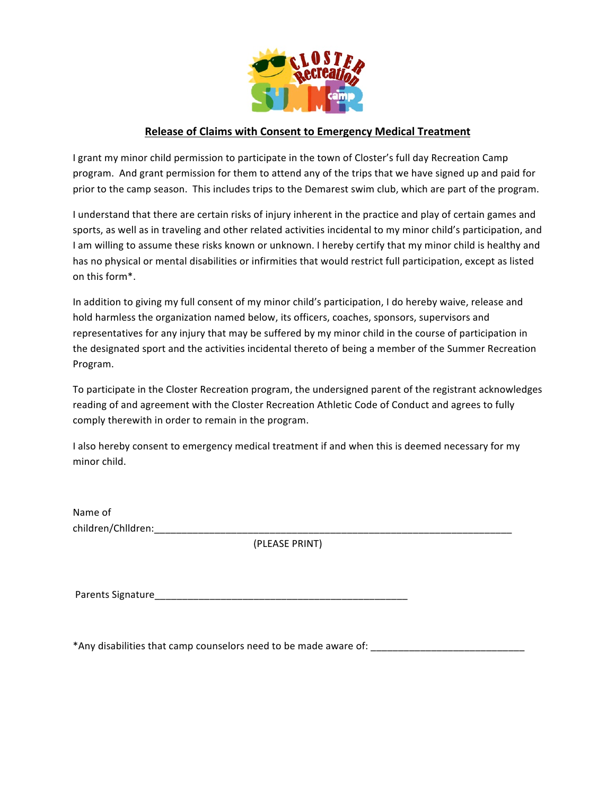

## **Release of Claims with Consent to Emergency Medical Treatment**

I grant my minor child permission to participate in the town of Closter's full day Recreation Camp program. And grant permission for them to attend any of the trips that we have signed up and paid for prior to the camp season. This includes trips to the Demarest swim club, which are part of the program.

I understand that there are certain risks of injury inherent in the practice and play of certain games and sports, as well as in traveling and other related activities incidental to my minor child's participation, and I am willing to assume these risks known or unknown. I hereby certify that my minor child is healthy and has no physical or mental disabilities or infirmities that would restrict full participation, except as listed on this form\*.

In addition to giving my full consent of my minor child's participation, I do hereby waive, release and hold harmless the organization named below, its officers, coaches, sponsors, supervisors and representatives for any injury that may be suffered by my minor child in the course of participation in the designated sport and the activities incidental thereto of being a member of the Summer Recreation Program. 

To participate in the Closter Recreation program, the undersigned parent of the registrant acknowledges reading of and agreement with the Closter Recreation Athletic Code of Conduct and agrees to fully comply therewith in order to remain in the program.

I also hereby consent to emergency medical treatment if and when this is deemed necessary for my minor child.

Name of children/Chlldren:

(PLEASE PRINT)

Parents Signature\_\_\_\_\_\_\_\_\_\_\_\_\_\_\_\_\_\_\_\_\_\_\_\_\_\_\_\_\_\_\_\_\_\_\_\_\_\_\_\_\_\_\_\_\_\_

\*Any disabilities that camp counselors need to be made aware of: